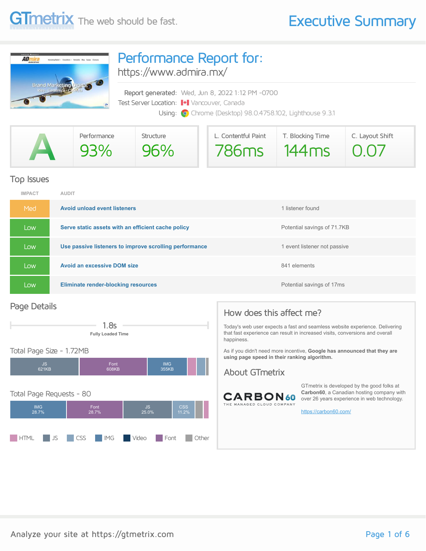

### Performance Report for:

<https://www.admira.mx/>

Report generated: Wed, Jun 8, 2022 1:12 PM -0700 Test Server Location: Vancouver, Canada Using: O Chrome (Desktop) 98.0.4758.102, Lighthouse 9.3.1

|                | Performance | Structure | L. Contentful Paint | T. Blocking Time | C. Layout Shift   |
|----------------|-------------|-----------|---------------------|------------------|-------------------|
| <b>Service</b> | 93%         | 96%       | 1786ms 144ms        |                  | $\overline{0.07}$ |

#### Top Issues

| <b>IMPACT</b> | <b>AUDIT</b>                                           |                              |
|---------------|--------------------------------------------------------|------------------------------|
| Med           | <b>Avoid unload event listeners</b>                    | 1 listener found             |
| Low           | Serve static assets with an efficient cache policy     | Potential savings of 71.7KB  |
| Low           | Use passive listeners to improve scrolling performance | l event listener not passive |
| Low           | <b>Avoid an excessive DOM size</b>                     | 841 elements                 |
| Low           | <b>Eliminate render-blocking resources</b>             | Potential savings of 17ms    |

#### Page Details



#### Total Page Size - 1.72MB



### How does this affect me?

Today's web user expects a fast and seamless website experience. Delivering that fast experience can result in increased visits, conversions and overall happiness.

As if you didn't need more incentive, **Google has announced that they are using page speed in their ranking algorithm.**

#### About GTmetrix



GTmetrix is developed by the good folks at **Carbon60**, a Canadian hosting company with over 26 years experience in web technology.

<https://carbon60.com/>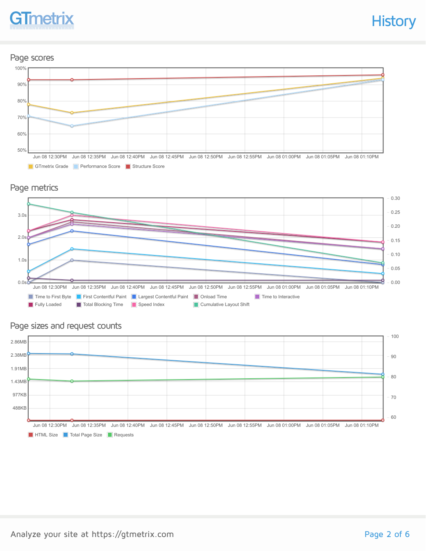# **GTmetrix**

## **History**

#### Page scores



#### Page metrics



#### Page sizes and request counts

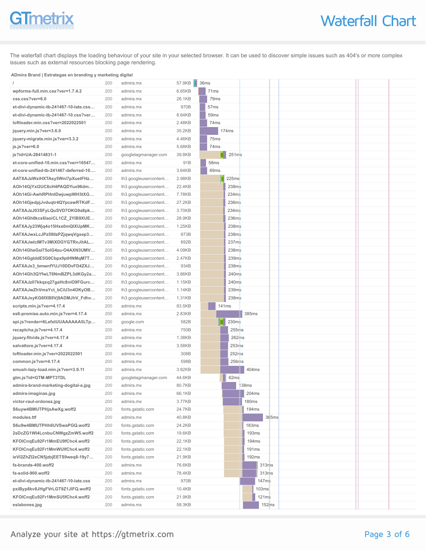# GTmetrix

The waterfall chart displays the loading behaviour of your site in your selected browser. It can be used to discover simple issues such as 404's or more complex issues such as external resources blocking page rendering.

#### **ADmira Brand | Estrategas en branding y marketing digital**

|                                                                           | 200        | admira.mx                      | 57.9KB           | $\vert$ 36ms |      |       |                   |                 |       |  |
|---------------------------------------------------------------------------|------------|--------------------------------|------------------|--------------|------|-------|-------------------|-----------------|-------|--|
| wpforms-full.min.css?ver=1.7.4.2                                          | 200        | admira.mx                      | 6.65KB           |              | 71ms |       |                   |                 |       |  |
| css.css?ver=6.0                                                           | 200        | admira.mx                      | 26.1KB           |              | 79ms |       |                   |                 |       |  |
| et-divi-dynamic-tb-241467-10-late.css                                     | 200        | admira.mx                      | 970B             |              | 57ms |       |                   |                 |       |  |
| et-divi-dynamic-tb-241467-10.css?ver                                      | 200        | admira.mx                      | 8.64KB           |              | 59ms |       |                   |                 |       |  |
| loftloader.min.css?ver=2022022501                                         | 200        | admira.mx                      | 2.48KB           |              | 74ms |       |                   |                 |       |  |
| jquery.min.js?ver=3.6.0                                                   | 200        | admira.mx                      | 35.2KB           |              |      | 174ms |                   |                 |       |  |
| jquery-migrate.min.js?ver=3.3.2                                           | 200        | admira.mx                      | 4.46KB           |              | 75ms |       |                   |                 |       |  |
| js.js?ver=6.0                                                             | 200        | admira.mx                      | 5.68KB           |              | 74ms |       |                   |                 |       |  |
| js?id=UA-28414831-1                                                       | 200        | googletagmanager.com           | 39.8KB           |              |      |       | 251ms             |                 |       |  |
| et-core-unified-10.min.css?ver=16547                                      | 200        | admira.mx                      | 91B              |              | 58ms |       |                   |                 |       |  |
| et-core-unified-tb-241467-deferred-10                                     | 200        | admira.mx                      | 3.64KB           |              | 69ms |       |                   |                 |       |  |
| AATXAJzWxiHXTAsy5Wni7pXuetFHz                                             | 200        | Ih3.googleusercontent          | 2.98KB           |              |      |       | 225ms             |                 |       |  |
| AOh14GjYxl2UC8cH4PAQDYux96dm                                              | 200        | Ih3.googleusercontent          | 22.4KB           |              |      |       | 238ms             |                 |       |  |
| AOh14Gi-AwhRPHntDwjuwpWH3tXG                                              | 200        | Ih3.googleusercontent          | 7.78KB           |              |      |       | 234ms             |                 |       |  |
| AOh14GjedpjJvduqtr4QYpcawRTKdF                                            | 200        | Ih3.googleusercontent          | 27.2KB           |              |      |       | 236ms             |                 |       |  |
| AATXAJzJ03SFyLQuSVD7OKG9a8pk                                              | 200        | Ih3.googleusercontent          | 3.70KB           |              |      |       | 234m\$            |                 |       |  |
| AOh14Gh0kcx6laoiCL1CZ_2YiB9XUE                                            | 200        | Ih3.googleusercontent          | 28.9KB           |              |      |       | 236ms             |                 |       |  |
| AATXAJy23Wjq4o15Hxs0mQlXUpMK                                              | 200        | Ih3.googleusercontent          | 1.25KB           |              |      |       | 238 <sub>ms</sub> |                 |       |  |
| AATXAJwxLcJPz59llzPZjqwqVgxep3                                            | 200        | Ih3.googleusercontent          | 973B             |              |      |       | 238ms             |                 |       |  |
| AATXAJwlcIMTv3MiXDGYGTRnJitAL                                             | 200        | Ih3.googleusercontent          | 892B             |              |      |       | 237ms             |                 |       |  |
| AOh14GheGsI75olG4zu-O4AXN3UMV                                             | 200        | Ih3.googleusercontent          | 4.09KB           |              |      |       | 238ms             |                 |       |  |
| AOh14GgIddE5G0Cbpx9ptHNMqM7T                                              | 200        | Ih3.googleusercontent          | 2.47KB           |              |      |       | 239 <sub>ms</sub> |                 |       |  |
| AATXAJx3_bmwnfYUJ10DDvFD4ZXJ                                              | 200        | Ih3.googleusercontent          | 934B             |              |      |       | 238 <sub>ms</sub> |                 |       |  |
| AOh14Gh3QYfwLT6NmBZPL3dKGy2a                                              | 200        | Ih3.googleusercontent          | 3.86KB           |              |      |       | 240 <sub>ms</sub> |                 |       |  |
| AATXAJzII7kkqxq27gaHc8niO9FGurc                                           | 200        | Ih3.googleusercontent          | 1.15KB           |              |      |       | 240 <sub>ms</sub> |                 |       |  |
| AATXAJwZhVmaYct_bCiU3n4OKyOB                                              | 200        | Ih3.googleusercontent          | 1.14KB           |              |      |       | 239 <sub>ms</sub> |                 |       |  |
| AATXAJxyKG6fXB9Vj9ADMJhV_Fdhv                                             | 200        | Ih3.googleusercontent          | 1.31KB           |              |      |       | 238 <sub>ms</sub> |                 |       |  |
| scripts.min.js?ver=4.17.4                                                 | 200        | admira.mx                      | 83.5KB           |              |      | 141ms |                   |                 |       |  |
| es6-promise.auto.min.js?ver=4.17.4                                        | 200        | admira.mx                      | 2.83KB           |              |      |       |                   | 385ms           |       |  |
| api.js?render=6LefxtUUAAAAAA5LTp                                          | 200        | google.com                     | 582B             |              |      |       | 230ms             |                 |       |  |
| recaptcha.js?ver=4.17.4                                                   | 200        | admira.mx                      | 750B             |              |      |       | 255ms             |                 |       |  |
| jquery.fitvids.js?ver=4.17.4                                              | 200        | admira.mx                      | 1.38KB           |              |      |       | 262ms             |                 |       |  |
| salvattore.js?ver=4.17.4                                                  | 200        | admira.mx                      | 3.58KB           |              |      |       | 253 <sub>ms</sub> |                 |       |  |
| loftloader.min.js?ver=2022022501                                          | 200        | admira.mx                      | 308B             |              |      |       | 252 <sub>ms</sub> |                 |       |  |
| common.js?ver=4.17.4                                                      | 200        | admira.mx                      | 598B             |              |      |       | 256ms             |                 |       |  |
| smush-lazy-load.min.js?ver=3.9.11                                         | 200        | admira.mx                      | 3.82KB           |              |      |       |                   | 404ms           |       |  |
| gtm.js?id=GTM-MPT3TDL                                                     | 200        | googletagmanager.com           | 44.6KB           |              |      |       | 62ms              |                 |       |  |
| admira-brand-marketing-dogital-a.jpg                                      | 200        | admira.mx                      | 80.7KB           |              |      |       |                   | 138ms           |       |  |
| admira-imaginas.jpg                                                       | 200        | admira.mx                      | 66.1KB           |              |      |       |                   | 204ms           |       |  |
| victor-raul-ordonez.jpg                                                   | 200        | admira.mx                      | 3.77KB           |              |      |       |                   | 180ms           |       |  |
| S6uyw4BMUTPHjxAwXg.woff2                                                  | 200        | fonts.gstatic.com              | 24.7KB           |              |      |       |                   | 194ms           |       |  |
| modules.ttf                                                               | 200        | admira.mx                      | 40.8KB           |              |      |       |                   |                 | 365ms |  |
| S6u9w4BMUTPHh6UVSwaPGQ.woff2                                              | 200        | fonts.gstatic.com              | 24.2KB           |              |      |       |                   | <b>183ms</b>    |       |  |
| 2sDcZG1WI4LcnbuCNWgzZmW5.woff2                                            | 200        | fonts.gstatic.com              | 19.6KB           |              |      |       |                   | 193ms           |       |  |
| KFOICnqEu92Fr1MmEU9fChc4.woff2                                            | 200        | fonts.gstatic.com              | 22.1KB           |              |      |       |                   | 194ms           |       |  |
| KFOICnqEu92Fr1MmWUIfChc4.woff2                                            | 200        | fonts.gstatic.com              | 22.1KB           |              |      |       |                   | 191ms           |       |  |
| ieVI2ZhZI2eCN5jzbjEETS9weq8-19y7<br>fa-brands-400.woff2                   | 200        | fonts.gstatic.com              | 21.9KB           |              |      |       |                   | 192ms<br>313ms  |       |  |
| fa-solid-900.woff2                                                        | 200<br>200 | admira.mx<br>admira.mx         | 76.6KB<br>78.4KB |              |      |       |                   | $313n$ s        |       |  |
|                                                                           | 200        | admira.mx                      | 970B             |              |      |       |                   | 147ms           |       |  |
| et-divi-dynamic-tb-241467-10-late.css<br>pxiByp8kv8JHgFVrLGT9Z1JIFQ.woff2 |            |                                |                  |              |      |       |                   |                 |       |  |
|                                                                           |            |                                |                  |              |      |       |                   |                 |       |  |
|                                                                           | 200        | fonts.gstatic.com              | 10.4KB           |              |      |       |                   | 103ms           |       |  |
| KFOICnqEu92Fr1MmSU5fChc4.woff2<br>eslabones.jpg                           | 200<br>200 | fonts.gstatic.com<br>admira.mx | 21.9KB<br>58.3KB |              |      |       |                   | 121m\$<br>152ms |       |  |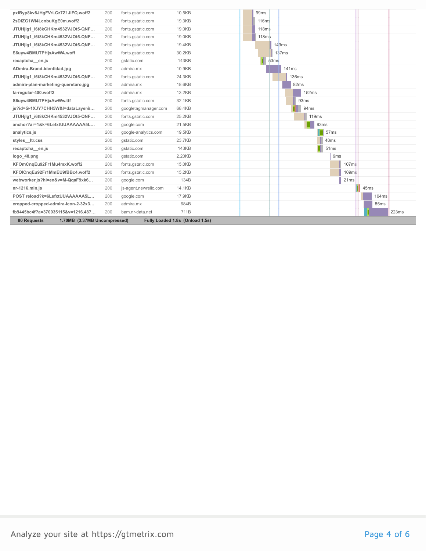| <b>80 Requests</b><br>1.70MB (3.37MB Uncompressed) |     |                       | Fully Loaded 1.8s (Onload 1.5s) |                  |              |                  |       |      |       |
|----------------------------------------------------|-----|-----------------------|---------------------------------|------------------|--------------|------------------|-------|------|-------|
| fb9445bc4f?a=370035115&v=1216.487                  | 200 | bam.nr-data.net       | 711B                            |                  |              |                  |       |      | 223ms |
| cropped-cropped-admira-icon-2-32x3                 | 200 | admira.mx             | 684B                            |                  |              |                  |       |      | 85ms  |
| POST reload?k=6LefxtUUAAAAAA5L                     | 200 | google.com            | 17.9KB                          |                  |              |                  |       |      | 104ms |
| $nr-1216.min.is$                                   | 200 | js-agent.newrelic.com | 14.1KB                          |                  |              |                  |       | 45ms |       |
| webworker.js?hl=en&v=M-QqaF9xk6                    | 200 | google.com            | 134B                            |                  |              |                  | 21ms  |      |       |
| KFOICngEu92Fr1MmEU9fBBc4.woff2                     | 200 | fonts.gstatic.com     | 15.2KB                          |                  |              |                  | 109ms |      |       |
| KFOmCngEu92Fr1Mu4mxK.woff2                         | 200 | fonts.gstatic.com     | 15.0KB                          |                  |              |                  | 107ms |      |       |
| logo_48.png                                        | 200 | qstatic.com           | 2.20KB                          |                  |              | 9 <sub>ms</sub>  |       |      |       |
| recaptcha_en.js                                    | 200 | qstatic.com           | <b>143KB</b>                    |                  |              | 51ms             |       |      |       |
| styles_ltr.css                                     | 200 | gstatic.com           | 23.7KB                          |                  |              | 48ms             |       |      |       |
| analytics.js                                       | 200 | google-analytics.com  | 19.5KB                          |                  |              | 57 <sub>ms</sub> |       |      |       |
| anchor?ar=1&k=6LefxtUUAAAAAA5L                     | 200 | google.com            | 21.5KB                          |                  | 93ms         |                  |       |      |       |
| JTUHjIg1_i6t8kCHKm4532VJOt5-QNF                    | 200 | fonts.gstatic.com     | 25.2KB                          |                  | <b>119ms</b> |                  |       |      |       |
| js?id=G-1XJY7CHH5W&l=dataLayer&                    | 200 | googletagmanager.com  | 68.4KB                          |                  | 94ms         |                  |       |      |       |
| S6uyw4BMUTPHjxAwWw.ttf                             | 200 | fonts.gstatic.com     | 32.1KB                          |                  | 93ms         |                  |       |      |       |
| fa-regular-400.woff2                               | 200 | admira.mx             | 13.2KB                          |                  | <b>152ms</b> |                  |       |      |       |
| admira-plan-marketing-queretaro.jpg                | 200 | admira.mx             | 18.6KB                          |                  | 82ms         |                  |       |      |       |
| JTUHjIg1_i6t8kCHKm4532VJOt5-QNF                    | 200 | fonts.gstatic.com     | 24.3KB                          |                  | <b>136ms</b> |                  |       |      |       |
| ADmira-Brand-identidad.jpg                         | 200 | admira.mx             | 10.9KB                          |                  | 141ms        |                  |       |      |       |
| recaptcha_en.js                                    | 200 | qstatic.com           | <b>143KB</b>                    |                  | 53ms         |                  |       |      |       |
| S6uyw4BMUTPHjxAwWA.woff                            | 200 | fonts.gstatic.com     | 30.2KB                          |                  | 137ms        |                  |       |      |       |
| JTUHjIg1_i6t8kCHKm4532VJOt5-QNF                    | 200 | fonts.gstatic.com     | 19.4KB                          |                  | 149ms        |                  |       |      |       |
| JTUHjIg1_i6t8kCHKm4532VJOt5-QNF                    | 200 | fonts.gstatic.com     | 19.0KB                          | 118ms            |              |                  |       |      |       |
| JTUHjIg1_i6t8kCHKm4532VJOt5-QNF                    | 200 | fonts.gstatic.com     | 19.0KB                          | 118ms            |              |                  |       |      |       |
| 2sDfZG1WI4LcnbuKgE0m.woff2                         | 200 | fonts.gstatic.com     | 19.3KB                          | <b>116ms</b>     |              |                  |       |      |       |
| pxiByp8kv8JHgFVrLCz7Z1JIFQ.woff2                   | 200 | fonts.gstatic.com     | 10.5KB                          | 99 <sub>ms</sub> |              |                  |       |      |       |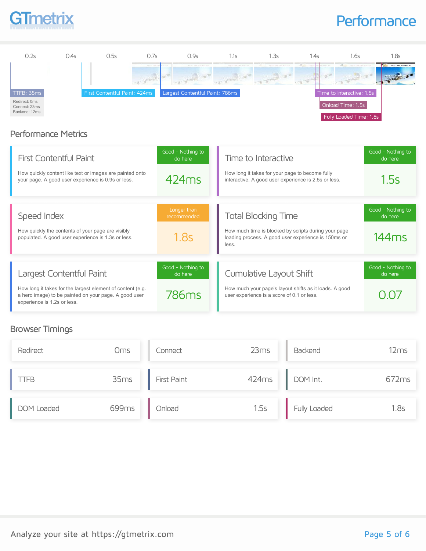

### **Performance**



#### Performance Metrics

| <b>First Contentful Paint</b>                                                                                                                      | Good - Nothing to<br>do here | Time to Interactive                                                                                                  | Good - Nothing to<br>do here |
|----------------------------------------------------------------------------------------------------------------------------------------------------|------------------------------|----------------------------------------------------------------------------------------------------------------------|------------------------------|
| How quickly content like text or images are painted onto<br>your page. A good user experience is 0.9s or less.                                     | 424ms                        | How long it takes for your page to become fully<br>interactive. A good user experience is 2.5s or less.              | 1.5s                         |
| Speed Index                                                                                                                                        | Longer than<br>recommended   | <b>Total Blocking Time</b>                                                                                           | Good - Nothing to<br>do here |
| How quickly the contents of your page are visibly<br>populated. A good user experience is 1.3s or less.                                            | 1.8s                         | How much time is blocked by scripts during your page<br>loading process. A good user experience is 150ms or<br>less. | 144ms                        |
| Largest Contentful Paint                                                                                                                           | Good - Nothing to<br>do here | Cumulative Layout Shift                                                                                              | Good - Nothing to<br>do here |
| How long it takes for the largest element of content (e.g.<br>a hero image) to be painted on your page. A good user<br>experience is 1.2s or less. | 786 <sub>ms</sub>            | How much your page's layout shifts as it loads. A good<br>user experience is a score of 0.1 or less.                 |                              |

#### Browser Timings

| Redirect   | Oms   | Connect     | 23ms  | Backend      | 12ms  |
|------------|-------|-------------|-------|--------------|-------|
| TFB        | 35ms  | First Paint | 424ms | DOM Int.     | 672ms |
| DOM Loaded | 699ms | Onload      | 1.5s  | Fully Loaded | 1.8s  |